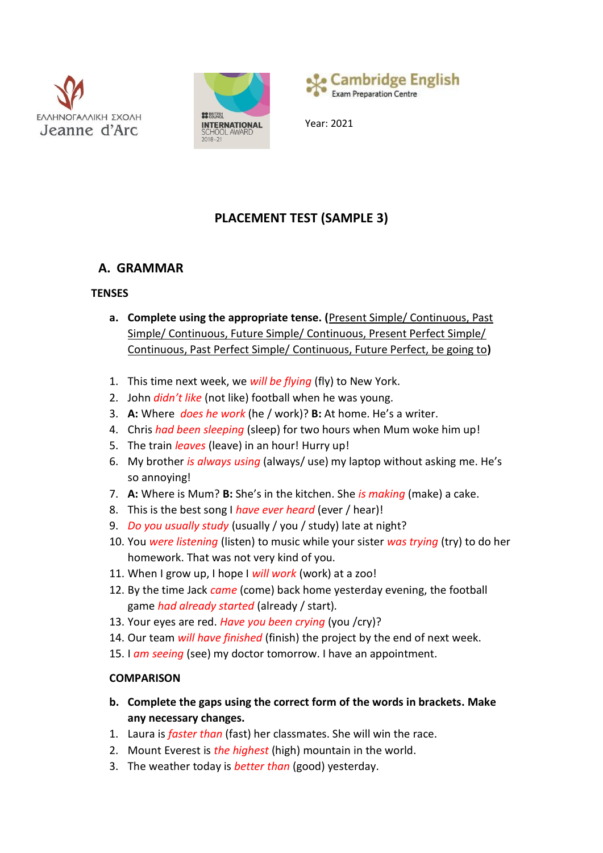





Year: 2021

# **PLACEMENT TEST (SAMPLE 3)**

# **A. GRAMMAR**

## **TENSES**

- **a. Complete using the appropriate tense. (**Present Simple/ Continuous, Past Simple/ Continuous, Future Simple/ Continuous, Present Perfect Simple/ Continuous, Past Perfect Simple/ Continuous, Future Perfect, be going to**)**
- 1. This time next week, we *will be flying* (fly) to New York.
- 2. John *didn't like* (not like) football when he was young.
- 3. **A:** Where *does he work* (he / work)? **B:** At home. He's a writer.
- 4. Chris *had been sleeping* (sleep) for two hours when Mum woke him up!
- 5. The train *leaves* (leave) in an hour! Hurry up!
- 6. My brother *is always using* (always/ use) my laptop without asking me. He's so annoying!
- 7. **A:** Where is Mum? **B:** She's in the kitchen. She *is making* (make) a cake.
- 8. This is the best song I *have ever heard* (ever / hear)!
- 9. *Do you usually study* (usually / you / study) late at night?
- 10. You *were listening* (listen) to music while your sister *was trying* (try) to do her homework. That was not very kind of you.
- 11. When I grow up, I hope I *will work* (work) at a zoo!
- 12. By the time Jack *came* (come) back home yesterday evening, the football game *had already started* (already / start).
- 13. Your eyes are red. *Have you been crying* (you /cry)?
- 14. Our team *will have finished* (finish) the project by the end of next week.
- 15. I *am seeing* (see) my doctor tomorrow. I have an appointment.

# **COMPARISON**

- **b. Complete the gaps using the correct form of the words in brackets. Make any necessary changes.**
- 1. Laura is *faster than* (fast) her classmates. She will win the race.
- 2. Mount Everest is *the highest* (high) mountain in the world.
- 3. The weather today is *better than* (good) yesterday.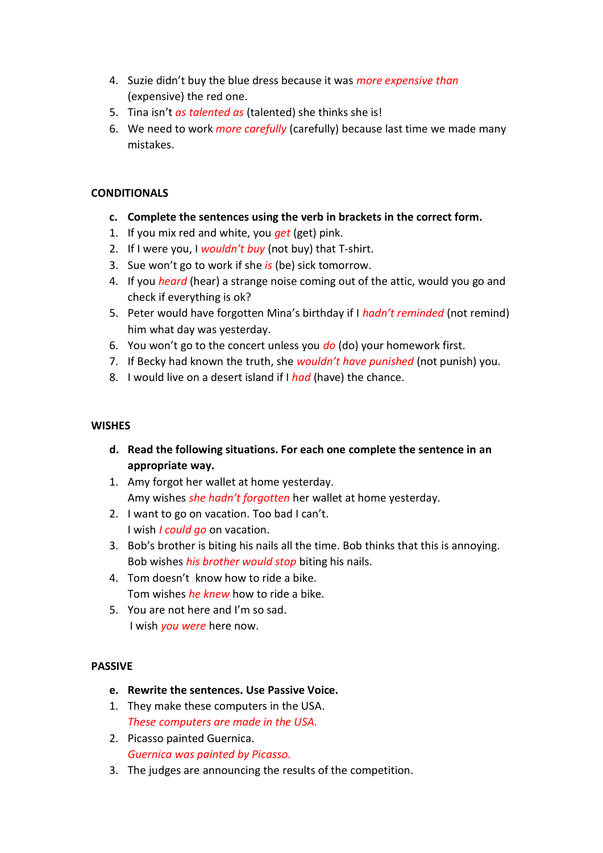- 4. Suzie didn't buy the blue dress because it was *more expensive than* (expensive) the red one.
- 5. Tina isn't *as talented as* (talented) she thinks she is!
- 6. We need to work *more carefully* (carefully) because last time we made many mistakes.

## **CONDITIONALS**

- **c. Complete the sentences using the verb in brackets in the correct form.**
- 1. If you mix red and white, you *get* (get) pink.
- 2. If I were you, I *wouldn't buy* (not buy) that T-shirt.
- 3. Sue won't go to work if she *is* (be) sick tomorrow.
- 4. If you *heard* (hear) a strange noise coming out of the attic, would you go and check if everything is ok?
- 5. Peter would have forgotten Mina's birthday if I *hadn't reminded* (not remind) him what day was yesterday.
- 6. You won't go to the concert unless you *do* (do) your homework first.
- 7. If Becky had known the truth, she *wouldn't have punished* (not punish) you.
- 8. I would live on a desert island if I *had* (have) the chance.

## **WISHES**

- **d. Read the following situations. For each one complete the sentence in an appropriate way.**
- 1. Amy forgot her wallet at home yesterday. Amy wishes *she hadn't forgotten* her wallet at home yesterday.
- 2. I want to go on vacation. Too bad I can't. I wish *I could go* on vacation.
- 3. Bob's brother is biting his nails all the time. Bob thinks that this is annoying. Bob wishes *his brother would stop* biting his nails.
- 4. Tom doesn't know how to ride a bike. Tom wishes *he knew* how to ride a bike.
- 5. You are not here and I'm so sad. I wish *you were* here now.

# **PASSIVE**

- **e. Rewrite the sentences. Use Passive Voice.**
- 1. They make these computers in the USA. *These computers are made in the USA.*
- 2. Picasso painted Guernica. *Guernica was painted by Picasso.*
- 3. The judges are announcing the results of the competition.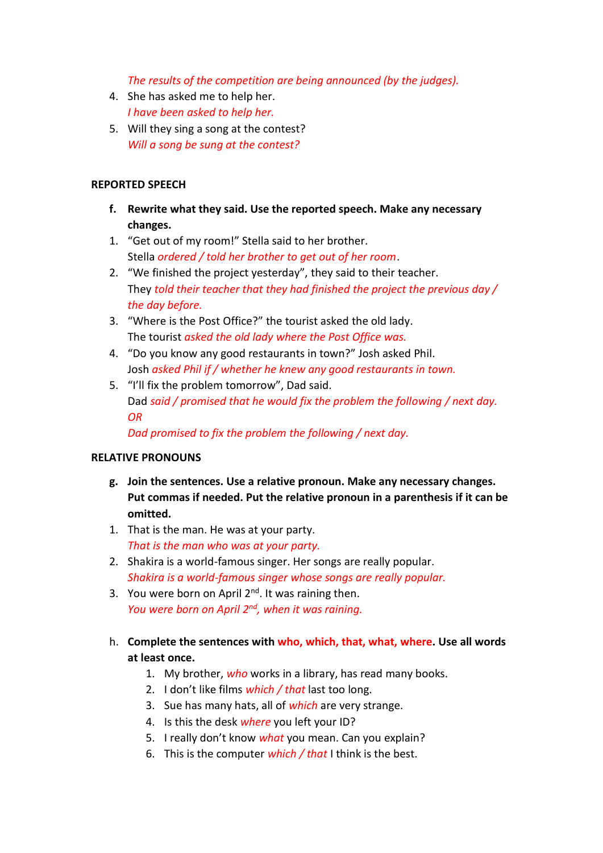*The results of the competition are being announced (by the judges).*

- 4. She has asked me to help her. *I have been asked to help her.*
- 5. Will they sing a song at the contest? *Will a song be sung at the contest?*

### **REPORTED SPEECH**

- **f. Rewrite what they said. Use the reported speech. Make any necessary changes.**
- 1. "Get out of my room!" Stella said to her brother. Stella *ordered / told her brother to get out of her room*.
- 2. "We finished the project yesterday", they said to their teacher. They *told their teacher that they had finished the project the previous day / the day before.*
- 3. "Where is the Post Office?" the tourist asked the old lady. The tourist *asked the old lady where the Post Office was.*
- 4. "Do you know any good restaurants in town?" Josh asked Phil. Josh *asked Phil if / whether he knew any good restaurants in town.*
- 5. "I'll fix the problem tomorrow", Dad said. Dad *said / promised that he would fix the problem the following / next day. OR*

*Dad promised to fix the problem the following / next day.*

#### **RELATIVE PRONOUNS**

- **g. Join the sentences. Use a relative pronoun. Make any necessary changes. Put commas if needed. Put the relative pronoun in a parenthesis if it can be omitted.**
- 1. That is the man. He was at your party. *That is the man who was at your party.*
- 2. Shakira is a world-famous singer. Her songs are really popular. *Shakira is a world-famous singer whose songs are really popular.*
- 3. You were born on April  $2^{nd}$ . It was raining then. *You were born on April 2nd , when it was raining.*
- h. **Complete the sentences with who, which, that, what, where. Use all words at least once.**
	- 1. My brother, *who* works in a library, has read many books.
	- 2. I don't like films *which / that* last too long.
	- 3. Sue has many hats, all of *which* are very strange.
	- 4. Is this the desk *where* you left your ID?
	- 5. I really don't know *what* you mean. Can you explain?
	- 6. This is the computer *which / that* I think is the best.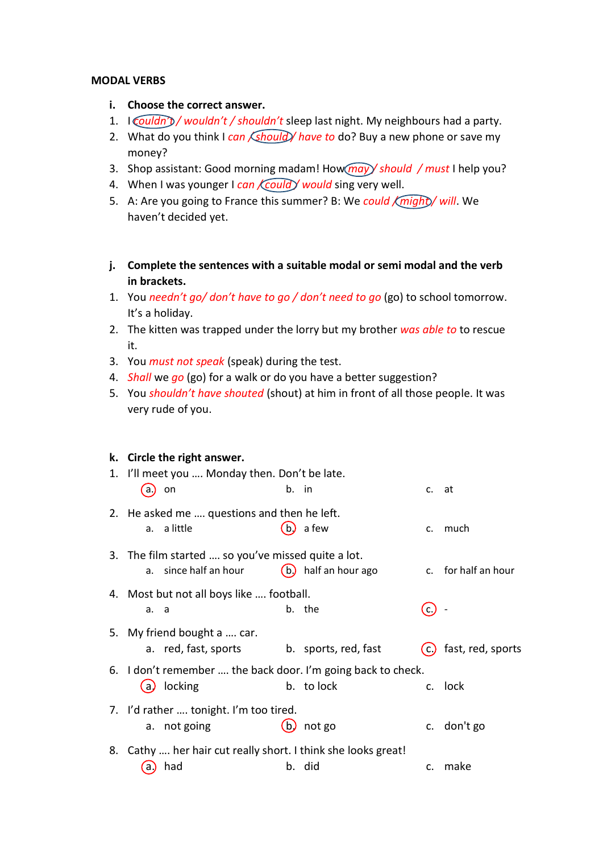#### **MODAL VERBS**

- **i. Choose the correct answer.**
- 1. I *couldn't / wouldn't / shouldn't* sleep last night. My neighbours had a party.
- 2. What do you think I *can <i>(should)* have to do? Buy a new phone or save my money?
- 3. Shop assistant: Good morning madam! How *may / should / must* I help you?
- 4. When I was younger I *can Could / would* sing very well.
- 5. A: Are you going to France this summer? B: We could *(might)* will. We haven't decided yet.
- **j. Complete the sentences with a suitable modal or semi modal and the verb in brackets.**
- 1. You *needn't go/ don't have to go / don't need to go* (go) to school tomorrow. It's a holiday.
- 2. The kitten was trapped under the lorry but my brother *was able to* to rescue it.
- 3. You *must not speak* (speak) during the test.
- 4. *Shall* we *go* (go) for a walk or do you have a better suggestion?
- 5. You *shouldn't have shouted* (shout) at him in front of all those people. It was very rude of you.

#### **k. Circle the right answer.**

| 1. I'll meet you  Monday then. Don't be late.                 |                                                            |       |                      |                   |                     |  |  |  |
|---------------------------------------------------------------|------------------------------------------------------------|-------|----------------------|-------------------|---------------------|--|--|--|
| a)                                                            | on                                                         | b. in |                      | c. at             |                     |  |  |  |
|                                                               | 2. He asked me  questions and then he left.<br>a. a little |       | a few                |                   | much                |  |  |  |
|                                                               |                                                            |       |                      | c.                |                     |  |  |  |
|                                                               | 3. The film started  so you've missed quite a lot.         |       |                      |                   |                     |  |  |  |
|                                                               | a. since half an hour                                      |       | (b) half an hour ago |                   | c. for half an hour |  |  |  |
| 4. Most but not all boys like  football.                      |                                                            |       |                      |                   |                     |  |  |  |
| a. a                                                          |                                                            |       | b. the               | $\mathsf{C}$ .    |                     |  |  |  |
|                                                               | 5. My friend bought a  car.                                |       |                      |                   |                     |  |  |  |
|                                                               | a. red, fast, sports                                       |       | b. sports, red, fast | $\left( c\right)$ | fast, red, sports   |  |  |  |
| 6. I don't remember  the back door. I'm going back to check.  |                                                            |       |                      |                   |                     |  |  |  |
| (a)                                                           | locking                                                    |       | b. to lock           |                   | c. lock             |  |  |  |
| 7. I'd rather  tonight. I'm too tired.                        |                                                            |       |                      |                   |                     |  |  |  |
|                                                               | a. not going                                               | .bJ   | not go               |                   | c. don't go         |  |  |  |
| 8. Cathy  her hair cut really short. I think she looks great! |                                                            |       |                      |                   |                     |  |  |  |
| a.,                                                           | had                                                        |       | b. did               | C.                | make                |  |  |  |